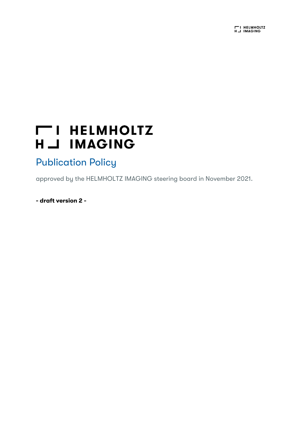# **THELMHOLTZ** H \_J IMAGING

## Publication Policy

approved by the HELMHOLTZ IMAGING steering board in November 2021.

- draft version 2 -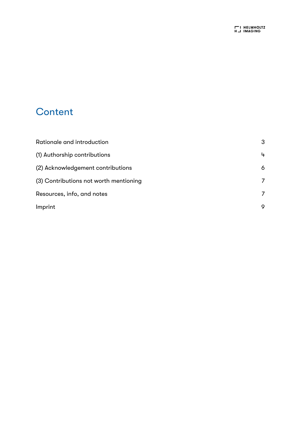## **Content**

| Rationale and introduction             | 3 |
|----------------------------------------|---|
| (1) Authorship contributions           | 4 |
| (2) Acknowledgement contributions      | 6 |
| (3) Contributions not worth mentioning | 7 |
| Resources, info, and notes             | 7 |
| Imprint                                | 9 |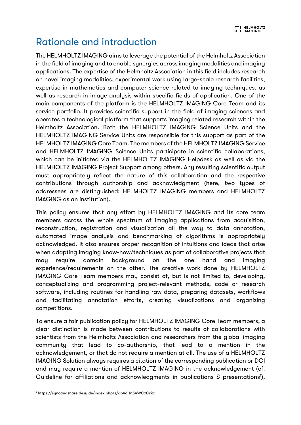## Rationale and introduction

The HELMHOLTZ IMAGING aims to leverage the potential of the Helmholtz Association in the field of imaging and to enable synergies across imaging modalities and imaging applications. The expertise of the Helmholtz Association in this field includes research on novel imaging modalities, experimental work using large-scale research facilities, expertise in mathematics and computer science related to imaging techniques, as well as research in image analysis within specific fields of application. One of the main components of the platform is the HELMHOLTZ IMAGING Core Team and its service portfolio. It provides scientific support in the field of imaging sciences and operates a technological platform that supports imaging related research within the Helmholtz Association. Both the HELMHOLTZ IMAGING Science Units and the HELMHOLTZ IMAGING Service Units are responsible for this support as part of the HELMHOLTZ IMAGING Core Team. The members of the HELMHOLTZ IMAGING Service and HELMHOLTZ IMAGING Science Units participate in scientific collaborations, which can be initiated via the HELMHOLTZ IMAGING Helpdesk as well as via the HELMHOLTZ IMAGING Project Support among others. Any resulting scientific output must appropriately reflect the nature of this collaboration and the respective contributions through authorship and acknowledgment (here, two types of addressees are distinguished: HELMHOLTZ IMAGING members and HELMHOLTZ IMAGING as an institution).

This policy ensures that any effort by HELMHOLTZ IMAGING and its core team members across the whole spectrum of imaging applications from acquisition, reconstruction, registration and visualization all the way to data annotation, automated image analysis and benchmarking of algorithms is appropriately acknowledged. It also ensures proper recognition of intuitions and ideas that arise when adapting imaging know-how/techniques as part of collaborative projects that may require domain background on the one hand and imaging experience/requirements on the other. The creative work done by HELMHOLTZ IMAGING Core Team members may consist of, but is not limited to, developing, conceptualizing and programming project-relevant methods, code or research software, including routines for handling raw data, preparing datasets, workflows and facilitating annotation efforts, creating visualizations and organizing competitions.

To ensure a fair publication policy for HELMHOLTZ IMAGING Core Team members, a clear distinction is made between contributions to results of collaborations with scientists from the Helmholtz Association and researchers from the global imaging community that lead to co-authorship, that lead to a mention in the acknowledgement, or that do not require a mention at all. The use of a HELMHOLTZ IMAGING Solution always requires a citation of the corresponding publication or DOI and may require a mention of HELMHOLTZ IMAGING in the acknowledgement (cf. Guideline for affiliations and acknowledgments in publications & presentations<sup>1</sup>),

<sup>1</sup> https://syncandshare.desy.de/index.php/s/abA6Hn5AWQzCrRx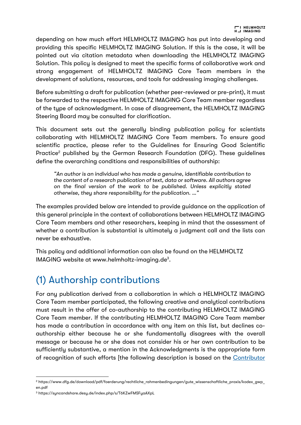depending on how much effort HELMHOLTZ IMAGING has put into developing and providing this specific HELMHOLTZ IMAGING Solution. If this is the case, it will be pointed out via citation metadata when downloading the HELMHOLTZ IMAGING Solution. This policy is designed to meet the specific forms of collaborative work and strong engagement of HELMHOLTZ IMAGING Core Team members in the development of solutions, resources, and tools for addressing imaging challenges.

Before submitting a draft for publication (whether peer-reviewed or pre-print), it must be forwarded to the respective HELMHOLTZ IMAGING Core Team member regardless of the type of acknowledgment. In case of disagreement, the HELMHOLTZ IMAGING Steering Board may be consulted for clarification.

This document sets out the generally binding publication policy for scientists collaborating with HELMHOLTZ IMAGING Core Team members. To ensure good scientific practice, please refer to the Guidelines for Ensuring Good Scientific Practice<sup>2</sup> published by the German Research Foundation (DFG). These guidelines define the overarching conditions and responsibilities of authorship:

*"An author is an individual who has made a genuine, identifiable contribution to the content of a research publication of text, data or software. All authors agree on the final version of the work to be published. Unless explicitly stated otherwise, they share responsibility for the publication. …"*

The examples provided below are intended to provide guidance on the application of this general principle in the context of collaborations between HELMHOLTZ IMAGING Core Team members and other researchers, keeping in mind that the assessment of whether a contribution is substantial is ultimately a judgment call and the lists can never be exhaustive.

This policy and additional information can also be found on the HELMHOLTZ IMAGING website at www.helmholtz-imaging.de<sup>3</sup>.

## (1) Authorship contributions

For any publication derived from a collaboration in which a HELMHOLTZ IMAGING Core Team member participated, the following creative and analytical contributions must result in the offer of co-authorship to the contributing HELMHOLTZ IMAGING Core Team member. If the contributing HELMHOLTZ IMAGING Core Team member has made a contribution in accordance with any item on this list, but declines coauthorship either because he or she fundamentally disagrees with the overall message or because he or she does not consider his or her own contribution to be sufficiently substantive, a mention in the Acknowledgments is the appropriate form of recognition of such efforts [the following description is based on the Contributor

<sup>&</sup>lt;sup>2</sup> https://www.dfg.de/download/pdf/foerderung/rechtliche\_rahmenbedingungen/gute\_wissenschaftliche\_praxis/kodex\_gwp en.pdf

<sup>3</sup> https://syncandshare.desy.de/index.php/s/T6KZwFMSFyaAXpL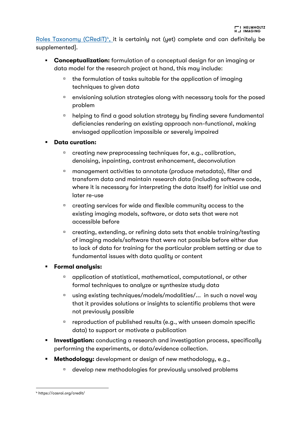Roles Taxonomy (CRediT)<sup>4</sup>, it is certainly not (yet) complete and can definitely be supplemented].

- **Conceptualization:** formulation of a conceptual design for an imaging or data model for the research project at hand, this may include:
	- $\text{u}$  the formulation of tasks suitable for the application of imaging techniques to given data
	- <sup>n</sup> envisioning solution strategies along with necessary tools for the posed problem
	- <sup>n</sup> helping to find a good solution strategy by finding severe fundamental deficiencies rendering an existing approach non-functional, making envisaged application impossible or severely impaired
- § Data curation:
	- <sup>n</sup> creating new preprocessing techniques for, e.g., calibration, denoising, inpainting, contrast enhancement, deconvolution
	- <sup>n</sup> management activities to annotate (produce metadata), filter and transform data and maintain research data (including software code, where it is necessary for interpreting the data itself) for initial use and later re-use
	- <sup>n</sup> creating services for wide and flexible community access to the existing imaging models, software, or data sets that were not accessible before
	- <sup>n</sup> creating, extending, or refining data sets that enable training/testing of imaging models/software that were not possible before either due to lack of data for training for the particular problem setting or due to fundamental issues with data quality or content
- § Formal analysis:
	- <sup>a</sup> application of statistical, mathematical, computational, or other formal techniques to analyze or synthesize study data
	- $\Box$  using existing techniques/models/modalities/... in such a novel way that it provides solutions or insights to scientific problems that were not previously possible
	- $\Box$  reproduction of published results (e.g., with unseen domain specific data) to support or motivate a publication
- **Investigation:** conducting a research and investigation process, specifically performing the experiments, or data/evidence collection.
- **Methodology:** development or design of new methodology, e.g.,
	- <sup>n</sup> develop new methodologies for previously unsolved problems

<sup>4</sup> https://casrai.org/credit/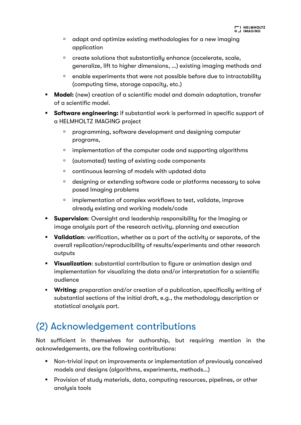- <sup>n</sup> adapt and optimize existing methodologies for a new imaging application
- <sup>a</sup> create solutions that substantially enhance (accelerate, scale, generalize, lift to higher dimensions, …) existing imaging methods and
- <sup>n</sup> enable experiments that were not possible before due to intractability (computing time, storage capacity, etc.)
- **Model:** (new) creation of a scientific model and domain adaptation, transfer of a scientific model.
- **Software engineering:** if substantial work is performed in specific support of a HELMHOLTZ IMAGING project
	- **<u><b>n**</u> programming, software development and designing computer programs,
	- $\Box$  implementation of the computer code and supporting algorithms
	- $Q^{\Box}$  (automated) testing of existing code components
	- $\Box$  continuous learning of models with updated data
	- <sup>n</sup> designing or extending software code or platforms necessary to solve posed Imaging problems
	- <sup>n</sup> implementation of complex workflows to test, validate, improve already existing and working models/code
- **E** Supervision: Oversight and leadership responsibility for the Imaging or image analysis part of the research activity, planning and execution
- **Validation:** verification, whether as a part of the activity or separate, of the overall replication/reproducibility of results/experiments and other research outputs
- **Visualization:** substantial contribution to figure or animation design and implementation for visualizing the data and/or interpretation for a scientific audience
- Writing: preparation and/or creation of a publication, specifically writing of substantial sections of the initial draft, e.g., the methodology description or statistical analysis part.

## (2) Acknowledgement contributions

Not sufficient in themselves for authorship, but requiring mention in the acknowledgements, are the following contributions:

- Non-trivial input on improvements or implementation of previously conceived models and designs (algorithms, experiments, methods…)
- Provision of study materials, data, computing resources, pipelines, or other analysis tools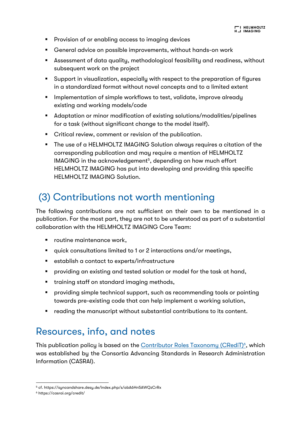- Provision of or enabling access to imaging devices
- General advice on possible improvements, without hands-on work
- Assessment of data quality, methodological feasibility and readiness, without subsequent work on the project
- Support in visualization, especially with respect to the preparation of figures in a standardized format without novel concepts and to a limited extent
- Implementation of simple workflows to test, validate, improve already existing and working models/code
- Adaptation or minor modification of existing solutions/modalities/pipelines for a task (without significant change to the model itself).
- Critical review, comment or revision of the publication.
- The use of a HELMHOLTZ IMAGING Solution always requires a citation of the corresponding publication and may require a mention of HELMHOLTZ IMAGING in the acknowledgement<sup>5</sup>, depending on how much effort HELMHOLTZ IMAGING has put into developing and providing this specific HELMHOLTZ IMAGING Solution.

## (3) Contributions not worth mentioning

The following contributions are not sufficient on their own to be mentioned in a publication. For the most part, they are not to be understood as part of a substantial collaboration with the HELMHOLTZ IMAGING Core Team:

- routine maintenance work,
- quick consultations limited to 1 or 2 interactions and/or meetings,
- establish a contact to experts/infrastructure
- § providing an existing and tested solution or model for the task at hand,
- training staff on standard imaging methods,
- providing simple technical support, such as recommending tools or pointing towards pre-existing code that can help implement a working solution,
- reading the manuscript without substantial contributions to its content.

### Resources, info, and notes

This publication policy is based on the <u>Contributor Roles Taxonomy (CRediT)<sup>6</sup>,</u> which was established by the Consortia Advancing Standards in Research Administration Information (CASRAI).

<sup>5</sup> cf. https://syncandshare.desy.de/index.php/s/abA6Hn5AWQzCrRx

<sup>6</sup> https://casrai.org/credit/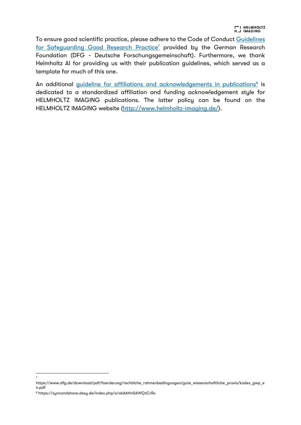To ensure good scientific practice, please adhere to the Code of Conduct Guidelines for Safeguarding Good Research Practice<sup>7</sup> provided by the German Research Foundation (DFG - Deutsche Forschungsgemeinschaft). Furthermore, we thank Helmholtz AI for providing us with their publication guidelines, which served as a template for much of this one.

An additional guideline for affiliations and acknowledgements in publications<sup>8</sup> is dedicated to a standardized affiliation and funding acknowledgement style for HELMHOLTZ IMAGING publications. The latter policy can be found on the HELMHOLTZ IMAGING website (http://www.helmholtz-imaging.de/).

7

https://www.dfg.de/download/pdf/foerderung/rechtliche\_rahmenbedingungen/gute\_wissenschaftliche\_praxis/kodex\_gwp\_e n.pdf

<sup>8</sup> https://syncandshare.desy.de/index.php/s/abA6Hn5AWQzCrRx